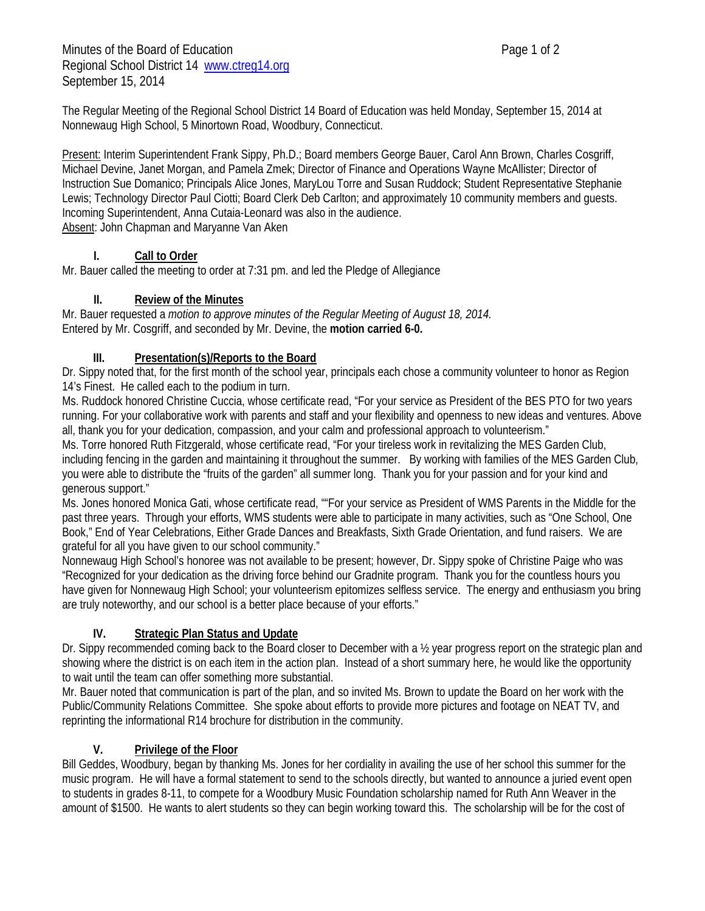Minutes of the Board of Education **Page 1 of 2** and 2 Regional School District 14 www.ctreg14.org September 15, 2014

The Regular Meeting of the Regional School District 14 Board of Education was held Monday, September 15, 2014 at Nonnewaug High School, 5 Minortown Road, Woodbury, Connecticut.

Present: Interim Superintendent Frank Sippy, Ph.D.; Board members George Bauer, Carol Ann Brown, Charles Cosgriff, Michael Devine, Janet Morgan, and Pamela Zmek; Director of Finance and Operations Wayne McAllister; Director of Instruction Sue Domanico; Principals Alice Jones, MaryLou Torre and Susan Ruddock; Student Representative Stephanie Lewis; Technology Director Paul Ciotti; Board Clerk Deb Carlton; and approximately 10 community members and guests. Incoming Superintendent, Anna Cutaia-Leonard was also in the audience. Absent: John Chapman and Maryanne Van Aken

# **I. Call to Order**

Mr. Bauer called the meeting to order at 7:31 pm. and led the Pledge of Allegiance

# **II. Review of the Minutes**

Mr. Bauer requested a *motion to approve minutes of the Regular Meeting of August 18, 2014.* Entered by Mr. Cosgriff, and seconded by Mr. Devine, the **motion carried 6-0.** 

# **III. Presentation(s)/Reports to the Board**

Dr. Sippy noted that, for the first month of the school year, principals each chose a community volunteer to honor as Region 14's Finest. He called each to the podium in turn.

Ms. Ruddock honored Christine Cuccia, whose certificate read, "For your service as President of the BES PTO for two years running. For your collaborative work with parents and staff and your flexibility and openness to new ideas and ventures. Above all, thank you for your dedication, compassion, and your calm and professional approach to volunteerism."

Ms. Torre honored Ruth Fitzgerald, whose certificate read, "For your tireless work in revitalizing the MES Garden Club, including fencing in the garden and maintaining it throughout the summer. By working with families of the MES Garden Club, you were able to distribute the "fruits of the garden" all summer long. Thank you for your passion and for your kind and generous support."

Ms. Jones honored Monica Gati, whose certificate read, ""For your service as President of WMS Parents in the Middle for the past three years. Through your efforts, WMS students were able to participate in many activities, such as "One School, One Book," End of Year Celebrations, Either Grade Dances and Breakfasts, Sixth Grade Orientation, and fund raisers. We are grateful for all you have given to our school community."

Nonnewaug High School's honoree was not available to be present; however, Dr. Sippy spoke of Christine Paige who was "Recognized for your dedication as the driving force behind our Gradnite program. Thank you for the countless hours you have given for Nonnewaug High School; your volunteerism epitomizes selfless service. The energy and enthusiasm you bring are truly noteworthy, and our school is a better place because of your efforts."

# **IV. Strategic Plan Status and Update**

Dr. Sippy recommended coming back to the Board closer to December with a ½ year progress report on the strategic plan and showing where the district is on each item in the action plan. Instead of a short summary here, he would like the opportunity to wait until the team can offer something more substantial.

Mr. Bauer noted that communication is part of the plan, and so invited Ms. Brown to update the Board on her work with the Public/Community Relations Committee. She spoke about efforts to provide more pictures and footage on NEAT TV, and reprinting the informational R14 brochure for distribution in the community.

# **V. Privilege of the Floor**

Bill Geddes, Woodbury, began by thanking Ms. Jones for her cordiality in availing the use of her school this summer for the music program. He will have a formal statement to send to the schools directly, but wanted to announce a juried event open to students in grades 8-11, to compete for a Woodbury Music Foundation scholarship named for Ruth Ann Weaver in the amount of \$1500. He wants to alert students so they can begin working toward this. The scholarship will be for the cost of